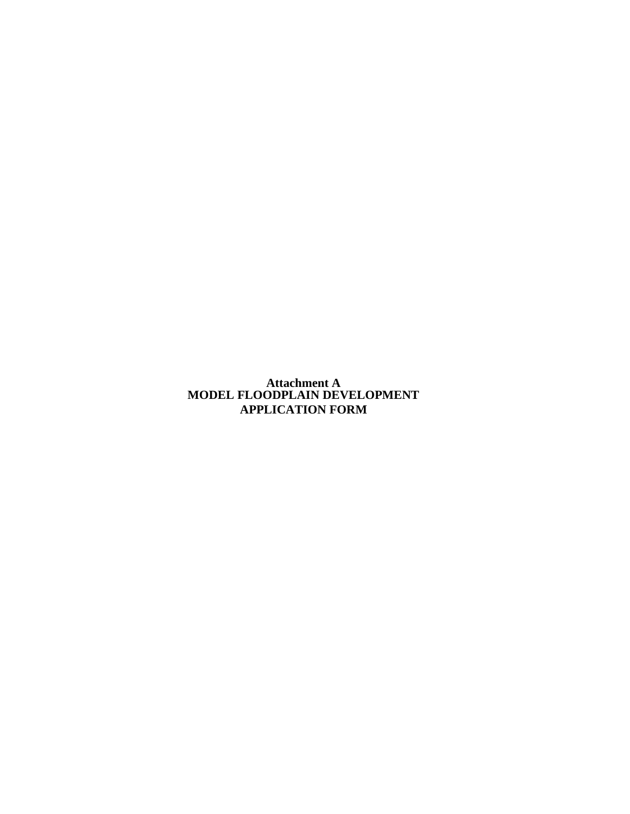**Attachment A MODEL FLOODPLAIN DEVELOPMENT APPLICATION FORM**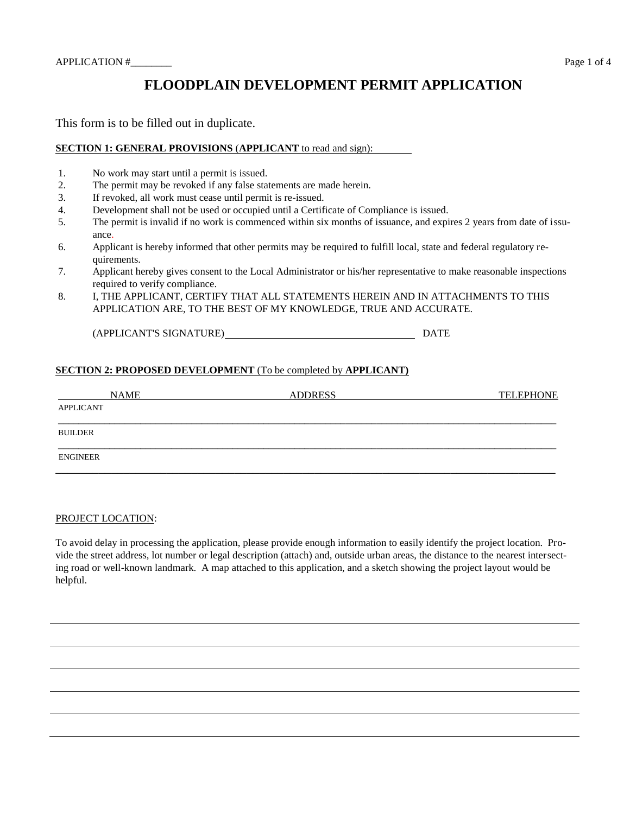# **FLOODPLAIN DEVELOPMENT PERMIT APPLICATION**

This form is to be filled out in duplicate.

### **SECTION 1: GENERAL PROVISIONS** (**APPLICANT** to read and sign):

- 1. No work may start until a permit is issued.
- 2. The permit may be revoked if any false statements are made herein.
- 3. If revoked, all work must cease until permit is re-issued.
- 4. Development shall not be used or occupied until a Certificate of Compliance is issued.
- 5. The permit is invalid if no work is commenced within six months of issuance, and expires 2 years from date of issuance.
- 6. Applicant is hereby informed that other permits may be required to fulfill local, state and federal regulatory requirements.
- 7. Applicant hereby gives consent to the Local Administrator or his/her representative to make reasonable inspections required to verify compliance.
- 8. I, THE APPLICANT, CERTIFY THAT ALL STATEMENTS HEREIN AND IN ATTACHMENTS TO THIS APPLICATION ARE, TO THE BEST OF MY KNOWLEDGE, TRUE AND ACCURATE.

(APPLICANT'S SIGNATURE)<br>
DATE

#### **SECTION 2: PROPOSED DEVELOPMENT** (To be completed by **APPLICANT)**

| <b>NAME</b>      | <b>ADDRESS</b> | <b>TELEPHONE</b> |
|------------------|----------------|------------------|
| <b>APPLICANT</b> |                |                  |
|                  |                |                  |
| <b>BUILDER</b>   |                |                  |
| <b>ENGINEER</b>  |                |                  |

#### PROJECT LOCATION:

To avoid delay in processing the application, please provide enough information to easily identify the project location. Provide the street address, lot number or legal description (attach) and, outside urban areas, the distance to the nearest intersecting road or well-known landmark. A map attached to this application, and a sketch showing the project layout would be helpful.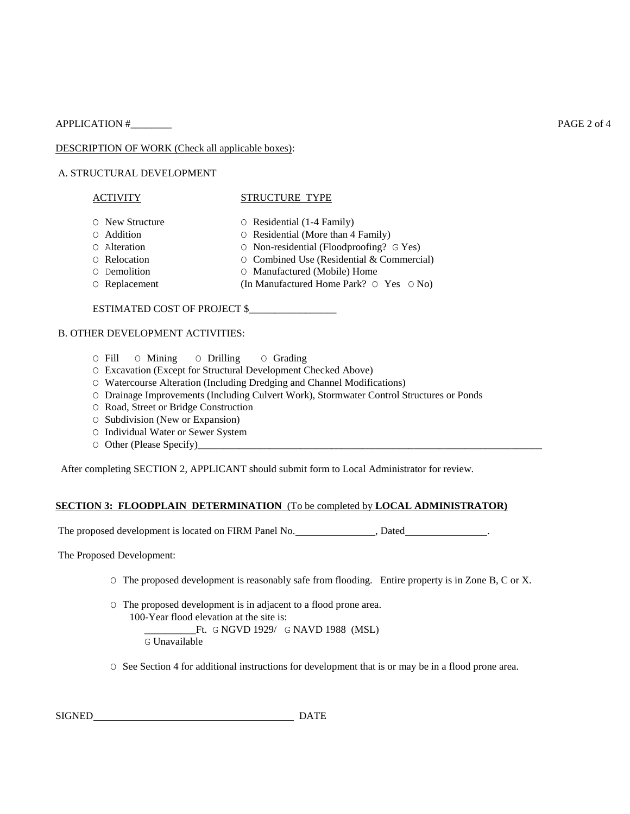APPLICATION # PAGE 2 of 4

DESCRIPTION OF WORK (Check all applicable boxes):

#### A. STRUCTURAL DEVELOPMENT

#### ACTIVITY STRUCTURE TYPE

- O New Structure O Residential (1-4 Family)
- 
- O Addition O Residential (More than 4 Family)
- O Alteration O Non-residential (Floodproofing? G Yes)
- O Relocation O Combined Use (Residential & Commercial)
- O Demolition O Manufactured (Mobile) Home
- O Replacement (In Manufactured Home Park? O Yes O No)

ESTIMATED COST OF PROJECT \$\_\_\_\_\_\_\_\_\_\_\_\_\_\_\_\_\_

#### B. OTHER DEVELOPMENT ACTIVITIES:

- O Fill O Mining O Drilling O Grading
- O Excavation (Except for Structural Development Checked Above)
- O Watercourse Alteration (Including Dredging and Channel Modifications)
- O Drainage Improvements (Including Culvert Work), Stormwater Control Structures or Ponds
- O Road, Street or Bridge Construction
- O Subdivision (New or Expansion)
- O Individual Water or Sewer System
- $\circ$  Other (Please Specify)

After completing SECTION 2, APPLICANT should submit form to Local Administrator for review.

#### **SECTION 3: FLOODPLAIN DETERMINATION** (To be completed by **LOCAL ADMINISTRATOR)**

The proposed development is located on FIRM Panel No. \_\_\_\_\_\_\_\_\_\_\_\_\_\_, Dated\_\_\_\_\_\_\_\_\_\_\_\_\_.

The Proposed Development:

- O The proposed development is reasonably safe from flooding. Entire property is in Zone B, C or X.
- O The proposed development is in adjacent to a flood prone area. 100-Year flood elevation at the site is: Ft. G NGVD 1929/ G NAVD 1988 (MSL) G Unavailable
- O See Section 4 for additional instructions for development that is or may be in a flood prone area.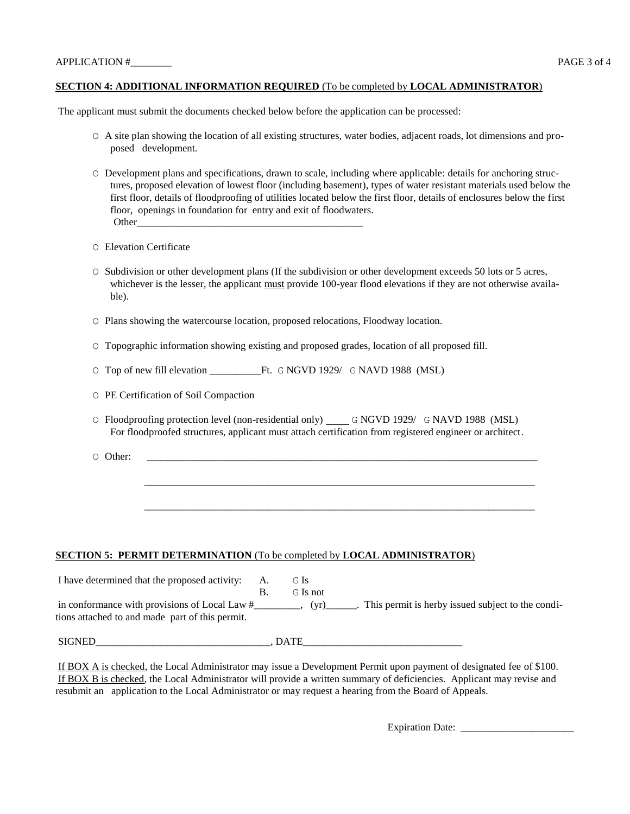#### **SECTION 4: ADDITIONAL INFORMATION REQUIRED** (To be completed by **LOCAL ADMINISTRATOR**)

The applicant must submit the documents checked below before the application can be processed:

- O A site plan showing the location of all existing structures, water bodies, adjacent roads, lot dimensions and proposed development.
- O Development plans and specifications, drawn to scale, including where applicable: details for anchoring structures, proposed elevation of lowest floor (including basement), types of water resistant materials used below the first floor, details of floodproofing of utilities located below the first floor, details of enclosures below the first floor, openings in foundation for entry and exit of floodwaters. Other
- O Elevation Certificate
- O Subdivision or other development plans (If the subdivision or other development exceeds 50 lots or 5 acres, whichever is the lesser, the applicant must provide 100-year flood elevations if they are not otherwise available).
- O Plans showing the watercourse location, proposed relocations, Floodway location.
- O Topographic information showing existing and proposed grades, location of all proposed fill.
- O Top of new fill elevation \_\_\_\_\_\_\_\_\_\_Ft. G NGVD 1929/ G NAVD 1988 (MSL)

O PE Certification of Soil Compaction

O Floodproofing protection level (non-residential only) G NGVD 1929/ G NAVD 1988 (MSL) For floodproofed structures, applicant must attach certification from registered engineer or architect.

\_\_\_\_\_\_\_\_\_\_\_\_\_\_\_\_\_\_\_\_\_\_\_\_\_\_\_\_\_\_\_\_\_\_\_\_\_\_\_\_\_\_\_\_\_\_\_\_\_\_\_\_\_\_\_\_\_\_\_\_\_\_\_\_\_\_\_\_\_\_\_\_\_\_\_\_

\_\_\_\_\_\_\_\_\_\_\_\_\_\_\_\_\_\_\_\_\_\_\_\_\_\_\_\_\_\_\_\_\_\_\_\_\_\_\_\_\_\_\_\_\_\_\_\_\_\_\_\_\_\_\_\_\_\_\_\_\_\_\_\_\_\_\_\_\_\_\_\_\_\_\_\_

O Other: \_\_\_\_\_\_\_\_\_\_\_\_\_\_\_\_\_\_\_\_\_\_\_\_\_\_\_\_\_\_\_\_\_\_\_\_\_\_\_\_\_\_\_\_\_\_\_\_\_\_\_\_\_\_\_\_\_\_\_\_\_\_\_\_\_\_\_\_\_\_\_\_\_\_\_\_

#### **SECTION 5: PERMIT DETERMINATION** (To be completed by **LOCAL ADMINISTRATOR**)

| I have determined that the proposed activity:                                                    | A.<br>В. | G Is<br>G Is not |                                                   |
|--------------------------------------------------------------------------------------------------|----------|------------------|---------------------------------------------------|
| in conformance with provisions of Local Law #<br>tions attached to and made part of this permit. |          | (yr)             | This permit is herby issued subject to the condi- |

SIGNED\_\_\_\_\_\_\_\_\_\_\_\_\_\_\_\_\_\_\_\_\_\_\_\_\_\_\_\_\_\_\_\_\_\_, DATE\_\_\_\_\_\_\_\_\_\_\_\_\_\_\_\_\_\_\_\_\_\_\_\_\_\_\_\_\_\_\_\_\_\_

If BOX A is checked, the Local Administrator may issue a Development Permit upon payment of designated fee of \$100. If BOX B is checked, the Local Administrator will provide a written summary of deficiencies. Applicant may revise and resubmit an application to the Local Administrator or may request a hearing from the Board of Appeals.

Expiration Date: \_\_\_\_\_\_\_\_\_\_\_\_\_\_\_\_\_\_\_\_\_\_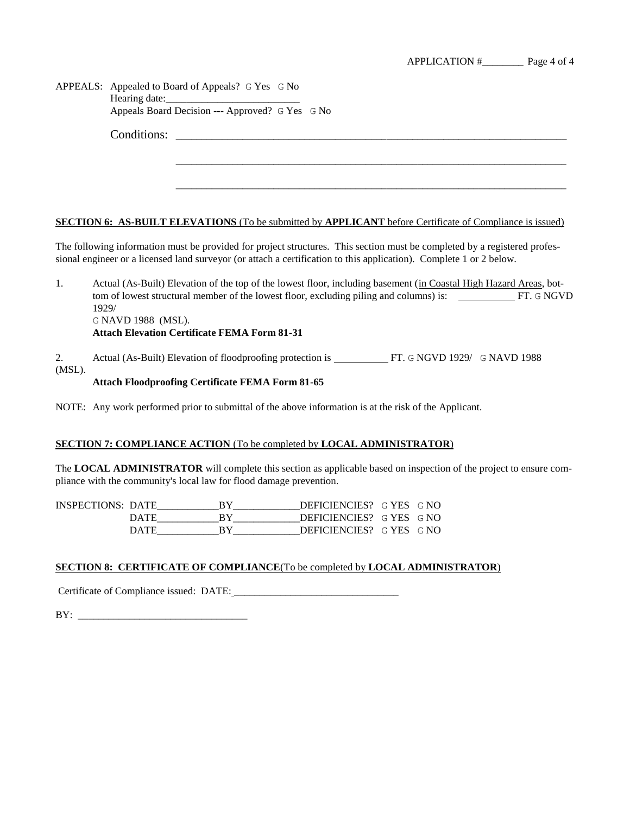|              | APPEALS: Appealed to Board of Appeals? G Yes G No                                                                                                                                                                                                |  |  |  |  |
|--------------|--------------------------------------------------------------------------------------------------------------------------------------------------------------------------------------------------------------------------------------------------|--|--|--|--|
|              | Appeals Board Decision --- Approved? G Yes G No                                                                                                                                                                                                  |  |  |  |  |
|              |                                                                                                                                                                                                                                                  |  |  |  |  |
|              |                                                                                                                                                                                                                                                  |  |  |  |  |
|              |                                                                                                                                                                                                                                                  |  |  |  |  |
|              | <b>SECTION 6: AS-BUILT ELEVATIONS</b> (To be submitted by <b>APPLICANT</b> before Certificate of Compliance is issued)                                                                                                                           |  |  |  |  |
|              |                                                                                                                                                                                                                                                  |  |  |  |  |
|              | The following information must be provided for project structures. This section must be completed by a registered profes-<br>sional engineer or a licensed land surveyor (or attach a certification to this application). Complete 1 or 2 below. |  |  |  |  |
| 1.           | Actual (As-Built) Elevation of the top of the lowest floor, including basement (in Coastal High Hazard Areas, bot-<br>tom of lowest structural member of the lowest floor, excluding piling and columns) is: FT. G NGVD<br>1929/                 |  |  |  |  |
|              | G NAVD 1988 (MSL).                                                                                                                                                                                                                               |  |  |  |  |
|              | <b>Attach Elevation Certificate FEMA Form 81-31</b>                                                                                                                                                                                              |  |  |  |  |
| 2.<br>(MSL). | Actual (As-Built) Elevation of floodproofing protection is ____________FT. G NGVD 1929/ G NAVD 1988                                                                                                                                              |  |  |  |  |

# **Attach Floodproofing Certificate FEMA Form 81-65**

NOTE: Any work performed prior to submittal of the above information is at the risk of the Applicant.

### **SECTION 7: COMPLIANCE ACTION** (To be completed by **LOCAL ADMINISTRATOR**)

The **LOCAL ADMINISTRATOR** will complete this section as applicable based on inspection of the project to ensure compliance with the community's local law for flood damage prevention.

| <b>INSPECTIONS: DATE</b> | DEFICIENCIES? G YES G NO |  |
|--------------------------|--------------------------|--|
| DATE                     | DEFICIENCIES? G YES G NO |  |
| DATE                     | DEFICIENCIES? G YES G NO |  |

## **SECTION 8: CERTIFICATE OF COMPLIANCE**(To be completed by **LOCAL ADMINISTRATOR**)

Certificate of Compliance issued: DATE: \_\_\_\_\_\_\_\_\_\_\_\_\_\_\_\_\_\_\_\_\_\_\_\_\_\_\_\_\_\_\_\_

BY: \_\_\_\_\_\_\_\_\_\_\_\_\_\_\_\_\_\_\_\_\_\_\_\_\_\_\_\_\_\_\_\_\_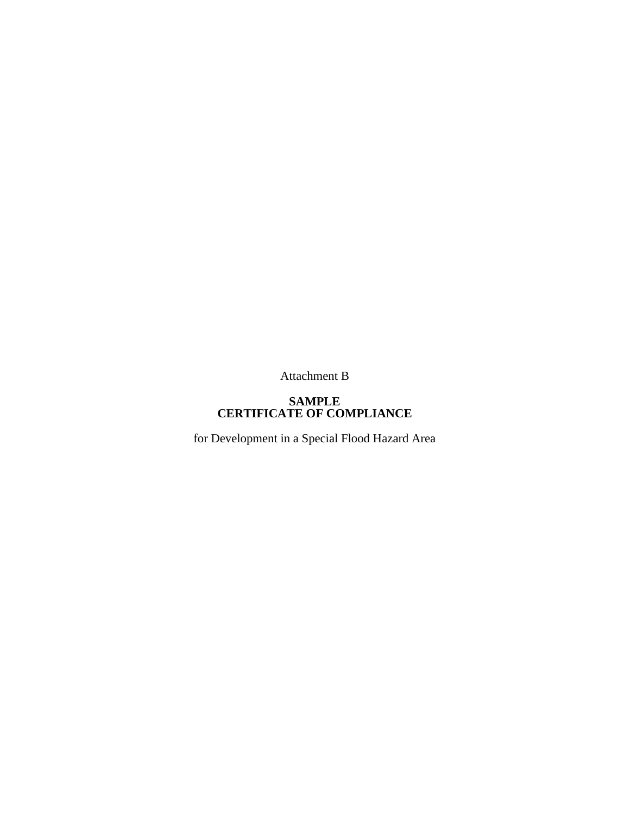Attachment B

# **SAMPLE CERTIFICATE OF COMPLIANCE**

for Development in a Special Flood Hazard Area